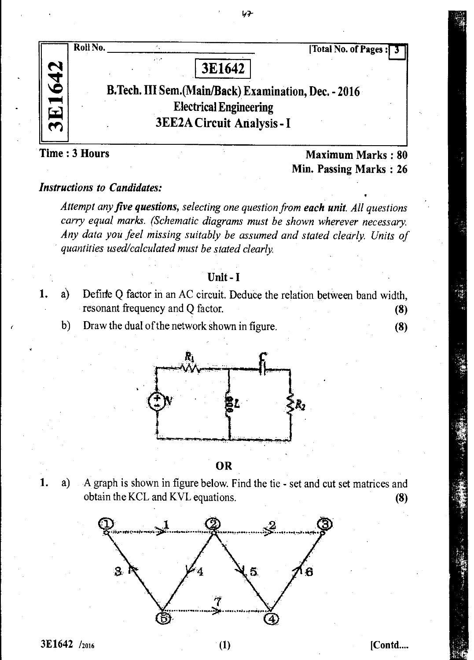

レマー

Time : 3 Hours Maximum Marks : 80 Min. Passing Marks : 26

# *Instructions to Candidates:*

*Attempt any five questions, selecting one question from each unit. All questions carry equal marks. (Schematic diagrams must be shown wherever necessary. Any data you feel missing suitably be assumed and stated clearly. Units of quantities used/calculated must be stated clearly.* 

### Unit - I

- 1. a) Defirfe Q factor in *an* AC circuit. Deduce the relation between band width, resonant frequency and Q factor. (8)
	- b) Draw the dual of the network shown in figure. (8)



OR

1. a) A graph is shown in figure below. Find the tie - set and cut set matrices and obtain the KCL and KVL equations. (8)

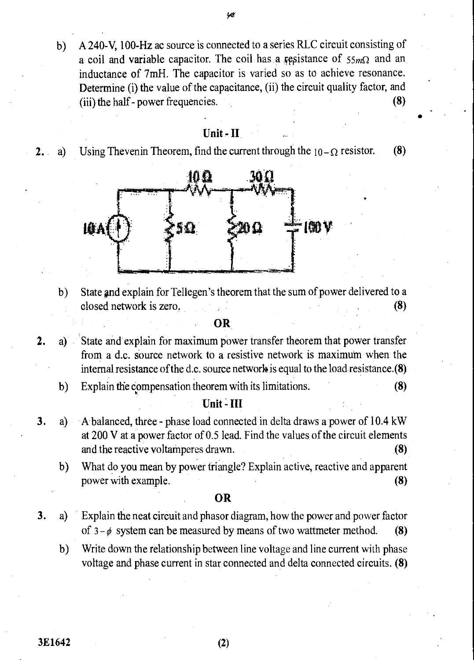- yď
- b) A 240-V, 100-Hz ac source is connected to a series RLC circuit consisting of a coil and variable capacitor. The coil has a resistance of  $55m\Omega$  and an inductance of 7mH. The capacitor is varied so as to achieve resonance. Determine (i) the value of the capacitance, (ii) the circuit quality factor, and (iii) the half - power frequencies. (8)

### Unit-II

2. a) Using Thevenin Theorem, find the current through the  $10-\Omega$  resistor. (8)



b) State gnd explain for Tellegen's theorem that the sum of power delivered to a closed network is zero. (8)

OR

- 2. a) State and explain for maximum power transfer theorem that power transfer from a d.c. source network to a resistive network is maximum when the internal resistance of the d.c. source network is equal to the load resistance.(8)
	- b) Explain the compensation theorem with its limitations. (8)

## Unit - III

- 3. a) A balanced, three phase load connected in delta draws a power of 10.4 kW at 200 Vat a power factor of 0.5 lead. Find the values of the circuit elements and the reactive voltamperes drawn. (8)
	- b) What do you mean by power triangle? Explain active, reactive and apparent power with example. (8)

# OR

- 3. a) Explain the neat circuit and phasor diagram, how the power and power factor of  $3-\phi$  system can be measured by means of two wattmeter method. (8)
	- b) Write down the relationship between line voltage and line current with phase voltage and phase current in star connected and delta connected circuits. (8)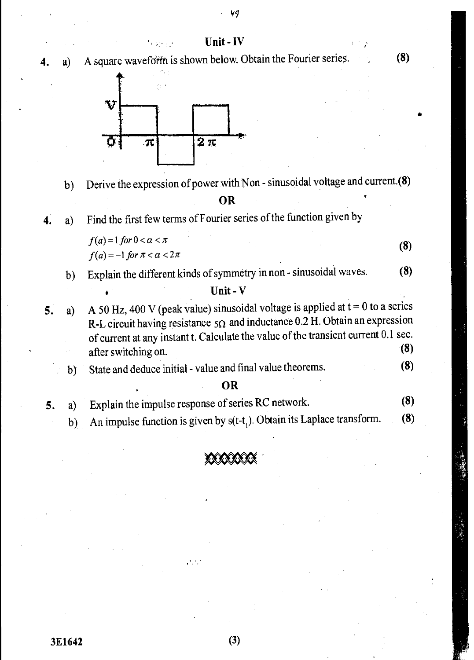#### Unit - IV

a) A square waveform is shown below. Obtain the Fourier series. **(8)** 



 $W_{\rm{2.2~GHz}}$ 

b) Derive the expression of power with Non - sinusoidal voltage and current.(8)

#### **OR**

4. a) Find the first few terms of Fourier series of the function given by

> $f(a) = 1$  for  $0 < a < \pi$  (8)  $f(a) = -1$  for  $\pi < \alpha < 2\pi$

b) Explain the different kinds of symmetry in non - sinusoidal waves. **(8)** 

# Unit - V

- 5. a) A 50 Hz, 400 V (peak value) sinusoidal voltage is applied at  $t = 0$  to a series R-L circuit having resistance  $5\Omega$  and inductance 0.2 H. Obtain an expression of current at any instant t. Calculate the value of the transient current 0.1 sec. after switching on. **(8) (8)** 
	- b) State and deduce initial value and final value theorems. **(8)**

# **OR**

- **5. a**) Explain the impulse response of series RC network. **(8)**<br> **b**) An impulse function is given by s(t-t.). Obtain its Laplace transform. **(8)** 
	- b) An impulse function is given by  $s(t-t)$ . Obtain its Laplace transform.



D.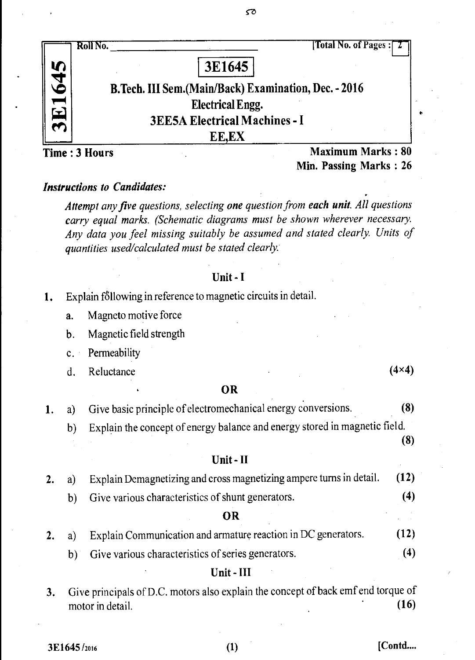

ST.

a. Magneto motive force

b. Magnetic field strength

c. Permeability

d. Reluctance  $(4 \times 4)$ 

#### **OR**

*1. a)* Give basic principle of electromechanical energy conversions. (8)

b) Explain the concept of energy balance and energy stored in magnetic field.

(8)

#### Unit - II

|  | 2. a) Explain Demagnetizing and cross magnetizing ampere turns in detail. (12) |  |
|--|--------------------------------------------------------------------------------|--|
|  |                                                                                |  |

b) Give various characteristics of shunt generators. (4)

#### **OR**

2. a) Explain Communication and armature reaction in DC generators. (12)

b) Give various characteristics of series generators. (4)

#### Unit - **III**

3. Give principals of D.C. motors also explain the concept of back emf end torque of motor in detail (16) motor in detail.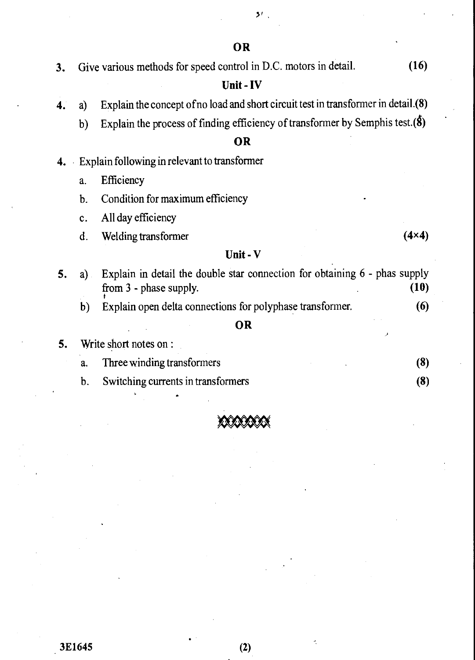$5<sup>t</sup>$ 

# **OR**

**3.** Give various methods for speed control in D.C. motors in detail. **(16)** 

# **Unit-IV**

- **4.** a) Explain the concept of no load and short circuit test in transformer in detail.(8)
	- b) Explain the process of finding efficiency of transformer by Semphis test. $(\delta)$

# **OR**

- **4.** Explain following in relevant to transformer
	- a. **Efficiency**
	- b. Condition for maximum efficiency
	- c. All day efficiency
	- d. Welding transformer **(4x4) (4x4)**

## **Unit - V**

| 5. | Explain in detail the double star connection for obtaining 6 - phas supply<br>$a$ )<br>from 3 - phase supply. |                                                           | (10) |  |
|----|---------------------------------------------------------------------------------------------------------------|-----------------------------------------------------------|------|--|
|    | b)                                                                                                            | Explain open delta connections for polyphase transformer. | (6)  |  |
|    |                                                                                                               | OR                                                        |      |  |
| 5. |                                                                                                               | Write short notes on :                                    |      |  |
|    | a.                                                                                                            | Three winding transformers                                | (8)  |  |
|    | b.                                                                                                            | Switching currents in transformers                        | (8)  |  |



3E1645 (2)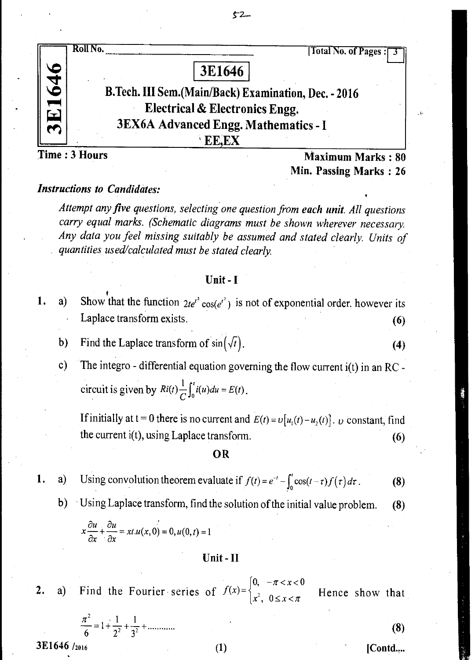

 $52-$ 

Min. Passing Marks : 26

# *Instructions to Candidates:*

*Attempt any five questions, selecting one question from each unit. All questions carry equal marks. (Schematic diagrams must be shown wherever necessary. Any data you feel missing suitably be assumed and stated clearly. Units of quantities used/calculated must be stated clearly.* 

#### Unit - I

- 1. a) Show that the function  $2te^{t^2} \cos(e^{t^2})$  is not of exponential order. however its Laplace transform exists. (6)
	- b) Find the Laplace transform of  $sin(\sqrt{t})$ . (4)
	- c) The integro differential equation governing the flow current i(t) in an RC circuit is given by  $Ri(t) - \frac{1}{C}\int_0^t i(u)du = E(t)$ .

If initially at t = 0 there is no current and  $E(t) = v[u_1(t) - u_2(t)]$ . v constant, find the current  $i(t)$ , using Laplace transform. (6)

OR

1. a) Using convolution theorem evaluate if 
$$
f(t) = e^{-t} - \int_0^t \cos(t-\tau) f(\tau) d\tau
$$
. (8)

b) Using Laplace transform, find the solution of the initial value problem. (8)

$$
x\frac{\partial u}{\partial x} + \frac{\partial u}{\partial x} = xt.u(x,0) = 0, u(0,t) = 1
$$

#### Unit - II

 $[0, -\pi < x < 0]$ 2. a) Find the Fourier series of  $f(x) = \begin{cases} 0 & n \leq x < \pi \\ x^2, & 0 \leq x < \pi \end{cases}$ Hence show that

$$
\frac{\pi^2}{6} = 1 + \frac{1}{2^2} + \frac{1}{3^2} + \dots \tag{8}
$$

 $3E1646 /_{2016}$  [Contd....

•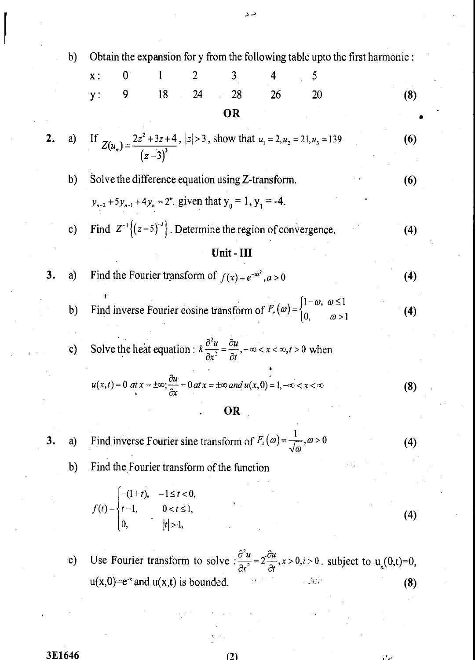b) Obtain the expansion for y from the following table up to the first harmonic:  
\nx: 0 1 2 3 4 5  
\ny: 9 18 24 28 26 20 (8)  
\n**OR**  
\n2. a) If 
$$
Z(u_n) = \frac{2z^2 + 3z + 4}{(z-3)^3}
$$
, show that  $u_1 = 2$ ,  $u_2 = 21$ ,  $u_3 = 139$  (6)  
\n $\frac{1}{y_{n+2}} + 5y_{n+1} + 4y_n = 2^n$ . given that  $y_0 = 1$ ,  $y_1 = -4$ .  
\nc) Find  $Z^{-1} \{(z-5)^{-3}\}$ . Determine the region of convergence.  
\n $Untt - III$   
\n3. a) Find the Fourier transform of  $f(x) = e^{-ax^2}$ ,  $a > 0$  (4)  
\nb) Find inverse Fourier cosine transform of  $F_c(\omega) = \begin{cases} 1-\omega, \omega \le 1 \\ 0, \omega > 1 \end{cases}$  (4)  
\nc) Solve the heat equation:  $k \frac{\partial^2 u}{\partial x^2} = \frac{\partial u}{\partial t} - \omega < x < \infty$ ,  $t > 0$  when  
\n $u(x, t) = 0$  at  $x = \pm \infty$ ;  $\frac{\partial u}{\partial x} = 0$  at  $x = \pm \infty$  and  $u(x, 0) = 1, -\infty < x < \infty$  (8)  
\n $\therefore$  OR  
\n3. a) Find inverse Fourier sine transform of  $F_c(\omega) = \frac{1}{\sqrt{\omega}}$ ,  $\omega > 0$  (4)  
\nb) Find the Fourier transform of the function  
\n $f(t) = \begin{cases} -(1+t), -1 \le t < 0, \\ t = 1, \quad 0 < t \le 1, \\ 0, \quad |t| > 1, \end{cases}$  (4)  
\nc) Use Fourier transform to solve  $\frac{\partial^2 u}{\partial x^2} = 2 \frac{\partial u}{\partial t}$ ,  $x > 0$ ,  $t > 0$ , subject to  $u_x(0, t) = 0$ ,  
\n $u(x, 0) = e^{-x}$  and  $u(x, t)$  is bounded. (8)

دد

 $\sum_{i=1}^{n}$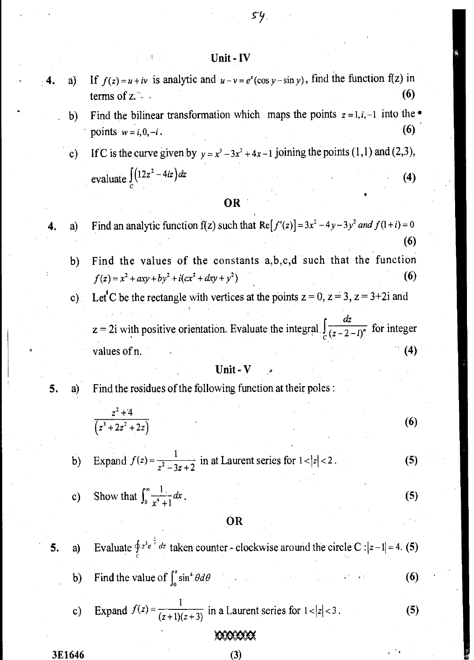# Unit - IV

- a) If  $f(z) = u + iv$  is analytic and  $u v = e^x(\cos y \sin y)$ , find the function f(z) in terms of z.  $\sim$  (6)
	- b) Find the bilinear transformation which maps the points  $z = 1, i, -1$  into the  $\bullet$ points  $w = i, 0, -i$ . (6)

54

c) If C is the curve given by  $y = x^3 - 3x^2 + 4x - 1$  joining the points (1,1) and (2,3), evaluate  $\int (12z^2 - 4iz) dz$  (4)

### OR

4. a) Find an analytic function  $f(z)$  such that  $Re[f'(z)] = 3x^2 - 4y - 3y^2$  *and*  $f(1+i) = 0$ 

b) Find the values of the constants a,b,c,d such that the function  $f(z) = x^2 + axy + by^2 + i(cx^2 + dxy + y^2)$ (6)

(6)

Let C be the rectangle with vertices at the points  $z = 0$ ,  $z = 3$ ,  $z = 3+2i$  and

 $z = 2i$  with positive orientation. Evaluate the integral *dz* \_  $\frac{1}{(z-2-i)^n}$  for integer values of n.  $(4)$ 

#### Unit - V

- 
- 5. a) Find the residues of the following function at their poles :

$$
\frac{z^2+4}{(z^3+2z^2+2z)}
$$
 (6)

b) Expand 
$$
f(z) = \frac{1}{z^2 - 3z + 2}
$$
 in at Laurent series for  $1 < |z| < 2$ . (5)

c) Show that  $\int_0^{\infty} \frac{1}{x^4 + 1} dx$ . (5)

#### OR

5. a) Evaluate  $\oint z^3 e^{-\frac{1}{2}} dz$  taken counter - clockwise around the circle C :  $|z-1|=4$ . (5) b) Find the value of  $\int_0^x \sin^4 \theta d\theta$  (6) c) Expand  $f(z) = \frac{1}{(z+1)(z+3)}$  in a Laurent series for  $1 < |z| < 3$ . (5)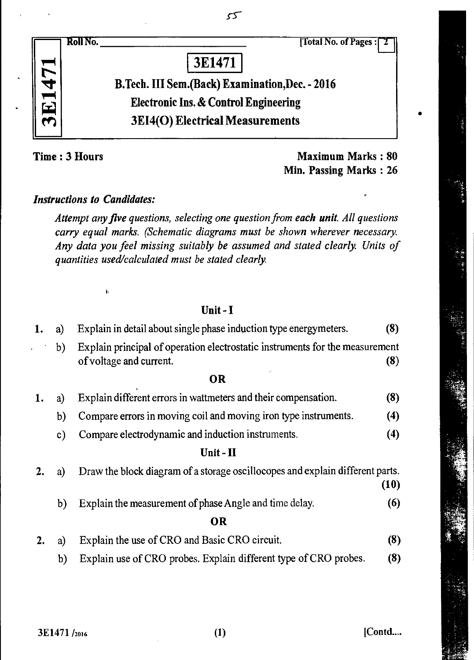| Roll No.<br>[Total No. of Pages:]                |
|--------------------------------------------------|
| 3E1471                                           |
| B.Tech. III Sem. (Back) Examination, Dec. - 2016 |
| <b>Electronic Ins. &amp; Control Engineering</b> |
| <b>3EI4(O) Electrical Measurements</b>           |
|                                                  |

 $55$ 

**Time : 3 Hours Maximum Marks : 80 Min. Passing Marks : 26** 

# *Instructions to Candidates:*

 $\mathbf{h}$ 

*Attempt any five questions, selecting one question from each unit. All questions carry equal marks. (Schematic diagrams must be shown wherever necessary. Any data you feel missing suitably be assumed and stated clearly. Units of quantities used/calculated must be stated clearly.* 

# Unit - I

| 1.       | a)            | Explain in detail about single phase induction type energymeters.                                              |      |
|----------|---------------|----------------------------------------------------------------------------------------------------------------|------|
|          | b)            | Explain principal of operation electrostatic instruments for the measurement<br>of voltage and current.<br>(8) |      |
|          |               | 0R                                                                                                             |      |
| 1.       | a)            | Explain different errors in wattmeters and their compensation.                                                 | (8)  |
|          | b)            | Compare errors in moving coil and moving iron type instruments.                                                | (4)  |
|          | $\mathbf{c})$ | Compare electrodynamic and induction instruments.                                                              | (4)  |
|          |               | Unit - II                                                                                                      |      |
| a)<br>2. |               | Draw the block diagram of a storage oscillocopes and explain different parts.                                  | (10) |
|          | b)            | Explain the measurement of phase Angle and time delay.                                                         | (6)  |
|          |               | <b>OR</b>                                                                                                      |      |
| 2.       | a)            | Explain the use of CRO and Basic CRO circuit.                                                                  | (8)  |
|          | b)            | Explain use of CRO probes. Explain different type of CRO probes.                                               | (8)  |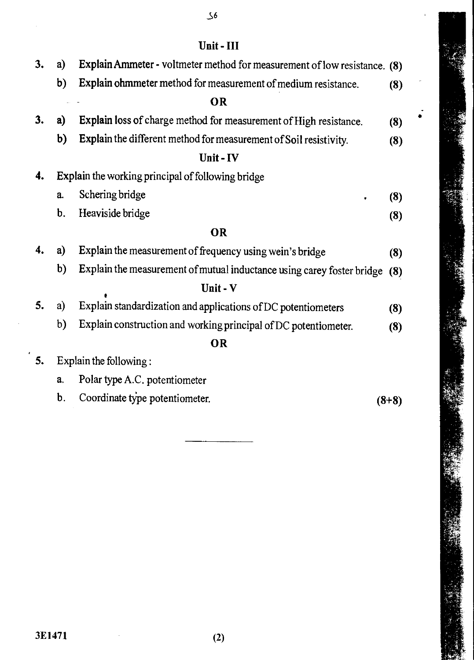| 11<br>ſ<br>_ |  |
|--------------|--|
|              |  |

| 3. | a)            | Explain Ammeter - voltmeter method for measurement of low resistance. (8) |         |
|----|---------------|---------------------------------------------------------------------------|---------|
|    | b)            | Explain ohmmeter method for measurement of medium resistance.             | (8)     |
|    |               | <b>OR</b>                                                                 |         |
| 3. | a)            | Explain loss of charge method for measurement of High resistance.         | (8)     |
|    | b)            | Explain the different method for measurement of Soil resistivity.         | (8)     |
|    |               | Unit-IV                                                                   |         |
| 4. |               | <b>Explain the working principal of following bridge</b>                  |         |
|    | a.            | Schering bridge                                                           | (8)     |
|    | $\mathbf b$ . | Heaviside bridge                                                          | (8)     |
|    |               | <b>OR</b>                                                                 |         |
| 4. | a)            | Explain the measurement of frequency using wein's bridge                  | (8)     |
|    | b)            | Explain the measurement of mutual inductance using carey foster bridge    | (8)     |
|    |               | Unit - V                                                                  |         |
| 5. | a)            | Explain standardization and applications of DC potentiometers             | (8)     |
|    | b)            | Explain construction and working principal of DC potentiometer.           | (8)     |
|    |               | OR                                                                        |         |
| 5. |               | Explain the following:                                                    |         |
|    | a.            | Polar type A.C. potentiometer                                             |         |
|    | b.            | Coordinate type potentiometer.                                            | $(8+8)$ |
|    |               |                                                                           |         |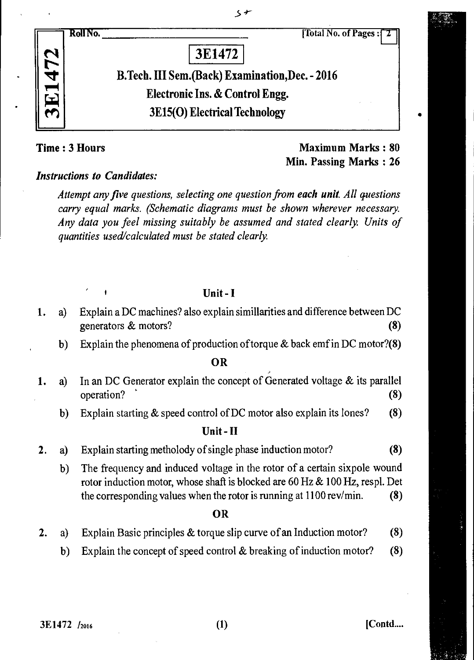N 1'



# B.Tech. III Sem (Back) Examination,Dec. - 2016 Electronic Ins. & Control Engg. 3E15(0) Electrical Technology

 $5 +$ 

Time : 3 Hours **Maximum Marks** : 80 Min. Passing Marks : 26

# *Instructions to Candidates:*

*Attempt any five questions, selecting one question from each unit. All questions carry equal marks. (Schematic diagrams must be shown wherever necessary. Any data you feel missing suitably be assumed and stated clearly. Units of quantities used/calculated must be stated clearly.* 

Unit - I

- 1. a) Explain a DC machines? also explain simillarities and difference between DC generators & motors? (8)
	- b) Explain the phenomena of production of torque  $\&$  back emf in DC motor?(8)

**OR** 

- 1. a) In an DC Generator explain the concept of Generated voltage & its parallel operation? (8)
	- b) Explain starting & speed control of DC motor also explain its lones? (8)

#### Unit - II

- 2. a) Explain starting metholody of single phase induction motor? (8)
	- b) The frequency and induced voltage in the rotor of a certain sixpole wound rotor induction motor, whose shaft is blocked are 60 Hz & 100 Hz, respl. Det the corresponding values when the rotor is running at 1100 rev/min. (8)

#### OR

- 2. a) Explain Basic principles & torque slip curve of an Induction motor? (8)
	- b) Explain the concept of speed control & breaking of induction motor? (8)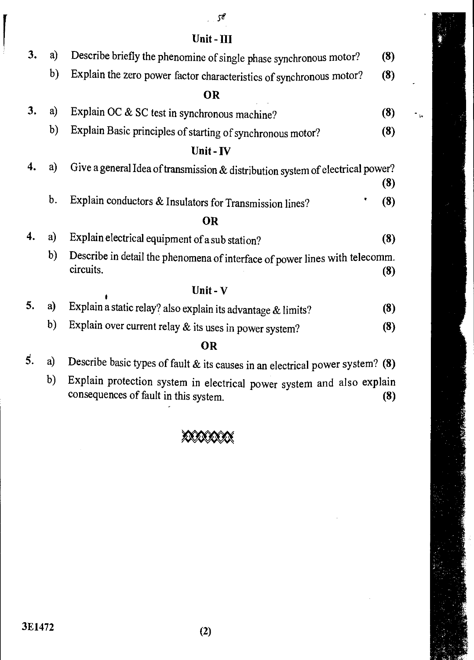### *se*

 $\mathbf{z}_n$ 

# **Unit - III**

| 3. | a)            | Describe briefly the phenomine of single phase synchronous motor?                        |     |
|----|---------------|------------------------------------------------------------------------------------------|-----|
|    | b)            | Explain the zero power factor characteristics of synchronous motor?                      | (8) |
|    |               | <b>OR</b>                                                                                |     |
| 3. | a)            | Explain OC & SC test in synchronous machine?                                             | (8) |
|    | b)            | Explain Basic principles of starting of synchronous motor?                               | (8) |
|    |               | Unit - IV                                                                                |     |
| 4. | a)            | Give a general Idea of transmission & distribution system of electrical power?           | (8) |
|    | $\mathbf b$ . | Explain conductors & Insulators for Transmission lines?                                  | (8) |
|    |               | <b>OR</b>                                                                                |     |
| 4. | a)            | Explain electrical equipment of a sub station?                                           | (8) |
|    | b)            | Describe in detail the phenomena of interface of power lines with telecomm.<br>circuits. | (8) |
|    |               | Unit - $V$                                                                               |     |
| 5. | a)            | Explain a static relay? also explain its advantage & limits?                             | (8) |
|    | b)            | Explain over current relay & its uses in power system?                                   | (8) |
|    |               | nв                                                                                       |     |

## **OR**

|  |  | 5. a) Describe basic types of fault & its causes in an electrical power system? (8) |  |
|--|--|-------------------------------------------------------------------------------------|--|
|--|--|-------------------------------------------------------------------------------------|--|

b) Explain protection system in electrical power system and also explain consequences of fault in this system. **(8) (8)** 

# 40\$0308(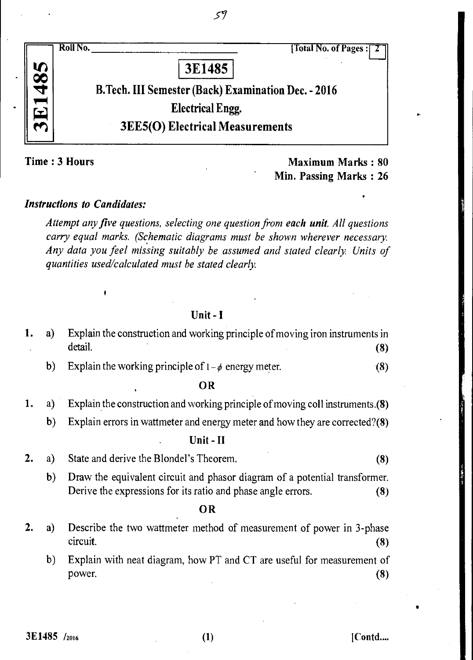

59

Time : 3 Hours Maximum Marks : 80 Min. Passing Marks : 26

#### *Instructions to Candidates:*

*Attempt any five questions, selecting one question from each unit. All questions carry equal marks. (Schematic diagrams must be shown wherever necessary. Any data you feel missing suitably be assumed and stated clearly. Units of quantities used/calculated must be stated clearly.* 

Unit - I

|  |         | 1. a) Explain the construction and working principle of moving iron instruments in |  |
|--|---------|------------------------------------------------------------------------------------|--|
|  | detail. |                                                                                    |  |

b) Explain the working principle of  $1-\phi$  energy meter. (8)

### OR

- 1. a) Explain the construction and working principle of moving coil instruments.(8)
	- b) Explain errors in wattmeter and energy meter and how they are corrected?(8)

#### Unit - II

- 2. a) State and derive the Blondel's Theorem. (8)
	- b) Draw the equivalent circuit and phasor diagram of a potential transformer. Derive the expressions for its ratio and phase angle errors. (8)

#### OR

- 2. a) Describe the two wattmeter method of measurement of power in 3-phase circuit. (8)
	- b) Explain with neat diagram, how PT and CT are useful for measurement of power.  $(8)$